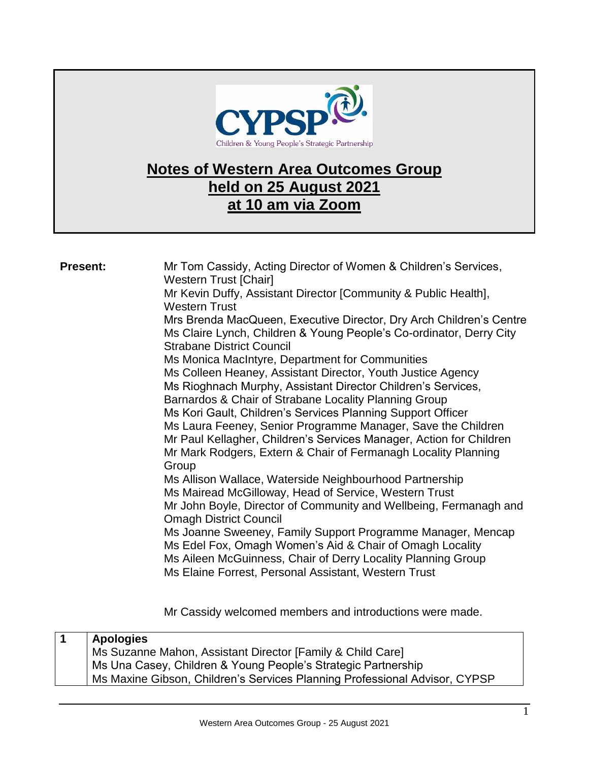

## **Notes of Western Area Outcomes Group held on 25 August 2021 at 10 am via Zoom**

| <b>Present:</b> | Mr Tom Cassidy, Acting Director of Women & Children's Services,<br><b>Western Trust [Chair]</b><br>Mr Kevin Duffy, Assistant Director [Community & Public Health],<br><b>Western Trust</b><br>Mrs Brenda MacQueen, Executive Director, Dry Arch Children's Centre<br>Ms Claire Lynch, Children & Young People's Co-ordinator, Derry City<br><b>Strabane District Council</b><br>Ms Monica MacIntyre, Department for Communities<br>Ms Colleen Heaney, Assistant Director, Youth Justice Agency<br>Ms Rioghnach Murphy, Assistant Director Children's Services,<br>Barnardos & Chair of Strabane Locality Planning Group<br>Ms Kori Gault, Children's Services Planning Support Officer<br>Ms Laura Feeney, Senior Programme Manager, Save the Children<br>Mr Paul Kellagher, Children's Services Manager, Action for Children<br>Mr Mark Rodgers, Extern & Chair of Fermanagh Locality Planning<br>Group<br>Ms Allison Wallace, Waterside Neighbourhood Partnership<br>Ms Mairead McGilloway, Head of Service, Western Trust<br>Mr John Boyle, Director of Community and Wellbeing, Fermanagh and<br><b>Omagh District Council</b><br>Ms Joanne Sweeney, Family Support Programme Manager, Mencap<br>Ms Edel Fox, Omagh Women's Aid & Chair of Omagh Locality<br>Ms Aileen McGuinness, Chair of Derry Locality Planning Group<br>Ms Elaine Forrest, Personal Assistant, Western Trust |
|-----------------|---------------------------------------------------------------------------------------------------------------------------------------------------------------------------------------------------------------------------------------------------------------------------------------------------------------------------------------------------------------------------------------------------------------------------------------------------------------------------------------------------------------------------------------------------------------------------------------------------------------------------------------------------------------------------------------------------------------------------------------------------------------------------------------------------------------------------------------------------------------------------------------------------------------------------------------------------------------------------------------------------------------------------------------------------------------------------------------------------------------------------------------------------------------------------------------------------------------------------------------------------------------------------------------------------------------------------------------------------------------------------------------|
|                 |                                                                                                                                                                                                                                                                                                                                                                                                                                                                                                                                                                                                                                                                                                                                                                                                                                                                                                                                                                                                                                                                                                                                                                                                                                                                                                                                                                                       |

Mr Cassidy welcomed members and introductions were made.

| <b>Apologies</b>                                                           |
|----------------------------------------------------------------------------|
| Ms Suzanne Mahon, Assistant Director [Family & Child Care]                 |
| Ms Una Casey, Children & Young People's Strategic Partnership              |
| Ms Maxine Gibson, Children's Services Planning Professional Advisor, CYPSP |
|                                                                            |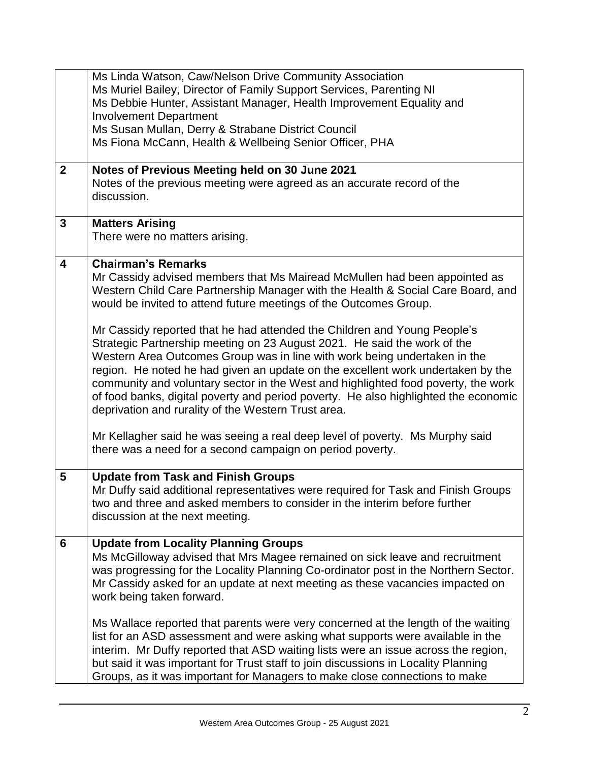|                | Ms Linda Watson, Caw/Nelson Drive Community Association                             |
|----------------|-------------------------------------------------------------------------------------|
|                | Ms Muriel Bailey, Director of Family Support Services, Parenting NI                 |
|                | Ms Debbie Hunter, Assistant Manager, Health Improvement Equality and                |
|                | <b>Involvement Department</b>                                                       |
|                | Ms Susan Mullan, Derry & Strabane District Council                                  |
|                | Ms Fiona McCann, Health & Wellbeing Senior Officer, PHA                             |
|                |                                                                                     |
|                |                                                                                     |
| $\mathbf{2}$   | Notes of Previous Meeting held on 30 June 2021                                      |
|                | Notes of the previous meeting were agreed as an accurate record of the              |
|                | discussion.                                                                         |
|                |                                                                                     |
| $\mathbf{3}$   | <b>Matters Arising</b>                                                              |
|                | There were no matters arising.                                                      |
|                |                                                                                     |
| 4              | <b>Chairman's Remarks</b>                                                           |
|                | Mr Cassidy advised members that Ms Mairead McMullen had been appointed as           |
|                | Western Child Care Partnership Manager with the Health & Social Care Board, and     |
|                | would be invited to attend future meetings of the Outcomes Group.                   |
|                |                                                                                     |
|                | Mr Cassidy reported that he had attended the Children and Young People's            |
|                |                                                                                     |
|                | Strategic Partnership meeting on 23 August 2021. He said the work of the            |
|                | Western Area Outcomes Group was in line with work being undertaken in the           |
|                | region. He noted he had given an update on the excellent work undertaken by the     |
|                | community and voluntary sector in the West and highlighted food poverty, the work   |
|                | of food banks, digital poverty and period poverty. He also highlighted the economic |
|                | deprivation and rurality of the Western Trust area.                                 |
|                |                                                                                     |
|                | Mr Kellagher said he was seeing a real deep level of poverty. Ms Murphy said        |
|                | there was a need for a second campaign on period poverty.                           |
|                |                                                                                     |
| $5\phantom{.}$ | <b>Update from Task and Finish Groups</b>                                           |
|                | Mr Duffy said additional representatives were required for Task and Finish Groups   |
|                | two and three and asked members to consider in the interim before further           |
|                |                                                                                     |
|                | discussion at the next meeting.                                                     |
|                |                                                                                     |
| 6              | <b>Update from Locality Planning Groups</b>                                         |
|                | Ms McGilloway advised that Mrs Magee remained on sick leave and recruitment         |
|                | was progressing for the Locality Planning Co-ordinator post in the Northern Sector. |
|                | Mr Cassidy asked for an update at next meeting as these vacancies impacted on       |
|                | work being taken forward.                                                           |
|                |                                                                                     |
|                | Ms Wallace reported that parents were very concerned at the length of the waiting   |
|                | list for an ASD assessment and were asking what supports were available in the      |
|                | interim. Mr Duffy reported that ASD waiting lists were an issue across the region,  |
|                |                                                                                     |
|                | but said it was important for Trust staff to join discussions in Locality Planning  |
|                | Groups, as it was important for Managers to make close connections to make          |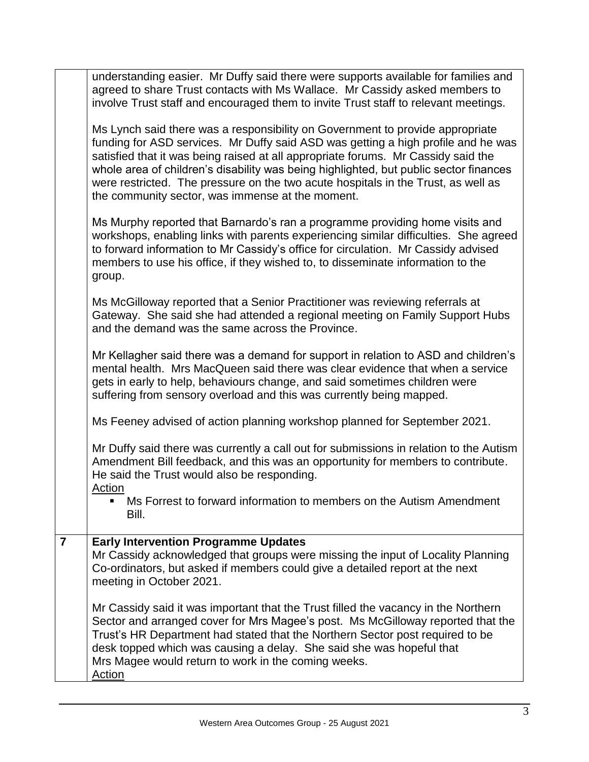|                | understanding easier. Mr Duffy said there were supports available for families and<br>agreed to share Trust contacts with Ms Wallace. Mr Cassidy asked members to<br>involve Trust staff and encouraged them to invite Trust staff to relevant meetings.                                                                                                                                                                                                                                  |
|----------------|-------------------------------------------------------------------------------------------------------------------------------------------------------------------------------------------------------------------------------------------------------------------------------------------------------------------------------------------------------------------------------------------------------------------------------------------------------------------------------------------|
|                | Ms Lynch said there was a responsibility on Government to provide appropriate<br>funding for ASD services. Mr Duffy said ASD was getting a high profile and he was<br>satisfied that it was being raised at all appropriate forums. Mr Cassidy said the<br>whole area of children's disability was being highlighted, but public sector finances<br>were restricted. The pressure on the two acute hospitals in the Trust, as well as<br>the community sector, was immense at the moment. |
|                | Ms Murphy reported that Barnardo's ran a programme providing home visits and<br>workshops, enabling links with parents experiencing similar difficulties. She agreed<br>to forward information to Mr Cassidy's office for circulation. Mr Cassidy advised<br>members to use his office, if they wished to, to disseminate information to the<br>group.                                                                                                                                    |
|                | Ms McGilloway reported that a Senior Practitioner was reviewing referrals at<br>Gateway. She said she had attended a regional meeting on Family Support Hubs<br>and the demand was the same across the Province.                                                                                                                                                                                                                                                                          |
|                | Mr Kellagher said there was a demand for support in relation to ASD and children's<br>mental health. Mrs MacQueen said there was clear evidence that when a service<br>gets in early to help, behaviours change, and said sometimes children were<br>suffering from sensory overload and this was currently being mapped.                                                                                                                                                                 |
|                | Ms Feeney advised of action planning workshop planned for September 2021.                                                                                                                                                                                                                                                                                                                                                                                                                 |
|                | Mr Duffy said there was currently a call out for submissions in relation to the Autism<br>Amendment Bill feedback, and this was an opportunity for members to contribute.<br>He said the Trust would also be responding.<br>Action                                                                                                                                                                                                                                                        |
|                | Ms Forrest to forward information to members on the Autism Amendment<br>Bill.                                                                                                                                                                                                                                                                                                                                                                                                             |
| $\overline{7}$ | <b>Early Intervention Programme Updates</b><br>Mr Cassidy acknowledged that groups were missing the input of Locality Planning<br>Co-ordinators, but asked if members could give a detailed report at the next<br>meeting in October 2021.                                                                                                                                                                                                                                                |
|                | Mr Cassidy said it was important that the Trust filled the vacancy in the Northern<br>Sector and arranged cover for Mrs Magee's post. Ms McGilloway reported that the<br>Trust's HR Department had stated that the Northern Sector post required to be<br>desk topped which was causing a delay. She said she was hopeful that<br>Mrs Magee would return to work in the coming weeks.<br>Action                                                                                           |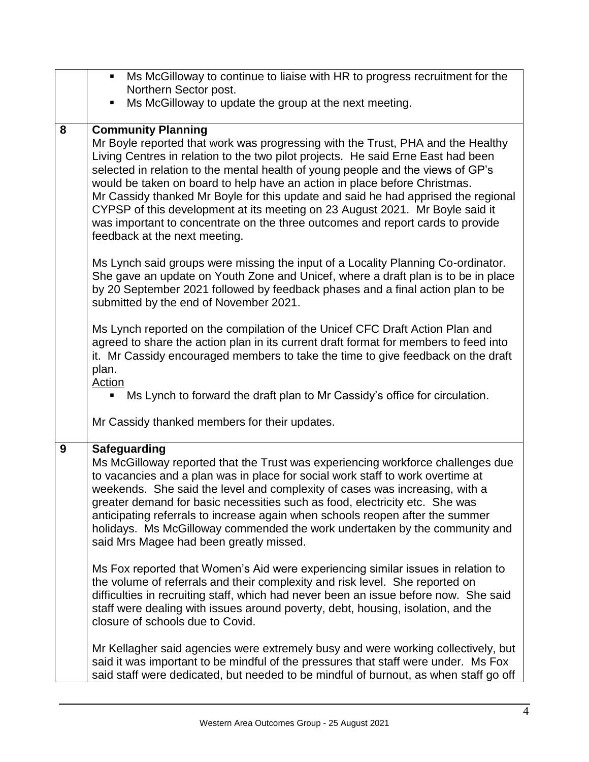|   | Ms McGilloway to continue to liaise with HR to progress recruitment for the<br>$\blacksquare$                                                                                                                                                                                                                                                                                                                                                                                                                                                                                                                                                                                                                                                |
|---|----------------------------------------------------------------------------------------------------------------------------------------------------------------------------------------------------------------------------------------------------------------------------------------------------------------------------------------------------------------------------------------------------------------------------------------------------------------------------------------------------------------------------------------------------------------------------------------------------------------------------------------------------------------------------------------------------------------------------------------------|
|   | Northern Sector post.<br>п                                                                                                                                                                                                                                                                                                                                                                                                                                                                                                                                                                                                                                                                                                                   |
|   | Ms McGilloway to update the group at the next meeting.                                                                                                                                                                                                                                                                                                                                                                                                                                                                                                                                                                                                                                                                                       |
| 8 | <b>Community Planning</b><br>Mr Boyle reported that work was progressing with the Trust, PHA and the Healthy<br>Living Centres in relation to the two pilot projects. He said Erne East had been<br>selected in relation to the mental health of young people and the views of GP's<br>would be taken on board to help have an action in place before Christmas.<br>Mr Cassidy thanked Mr Boyle for this update and said he had apprised the regional<br>CYPSP of this development at its meeting on 23 August 2021. Mr Boyle said it<br>was important to concentrate on the three outcomes and report cards to provide<br>feedback at the next meeting.<br>Ms Lynch said groups were missing the input of a Locality Planning Co-ordinator. |
|   | She gave an update on Youth Zone and Unicef, where a draft plan is to be in place<br>by 20 September 2021 followed by feedback phases and a final action plan to be<br>submitted by the end of November 2021.                                                                                                                                                                                                                                                                                                                                                                                                                                                                                                                                |
|   | Ms Lynch reported on the compilation of the Unicef CFC Draft Action Plan and<br>agreed to share the action plan in its current draft format for members to feed into<br>it. Mr Cassidy encouraged members to take the time to give feedback on the draft<br>plan.<br><b>Action</b><br>Ms Lynch to forward the draft plan to Mr Cassidy's office for circulation.                                                                                                                                                                                                                                                                                                                                                                             |
|   | Mr Cassidy thanked members for their updates.                                                                                                                                                                                                                                                                                                                                                                                                                                                                                                                                                                                                                                                                                                |
| 9 | <b>Safeguarding</b><br>Ms McGilloway reported that the Trust was experiencing workforce challenges due<br>to vacancies and a plan was in place for social work staff to work overtime at<br>weekends. She said the level and complexity of cases was increasing, with a<br>greater demand for basic necessities such as food, electricity etc. She was<br>anticipating referrals to increase again when schools reopen after the summer<br>holidays. Ms McGilloway commended the work undertaken by the community and<br>said Mrs Magee had been greatly missed.                                                                                                                                                                             |
|   | Ms Fox reported that Women's Aid were experiencing similar issues in relation to<br>the volume of referrals and their complexity and risk level. She reported on<br>difficulties in recruiting staff, which had never been an issue before now. She said<br>staff were dealing with issues around poverty, debt, housing, isolation, and the<br>closure of schools due to Covid.                                                                                                                                                                                                                                                                                                                                                             |
|   | Mr Kellagher said agencies were extremely busy and were working collectively, but<br>said it was important to be mindful of the pressures that staff were under. Ms Fox<br>said staff were dedicated, but needed to be mindful of burnout, as when staff go off                                                                                                                                                                                                                                                                                                                                                                                                                                                                              |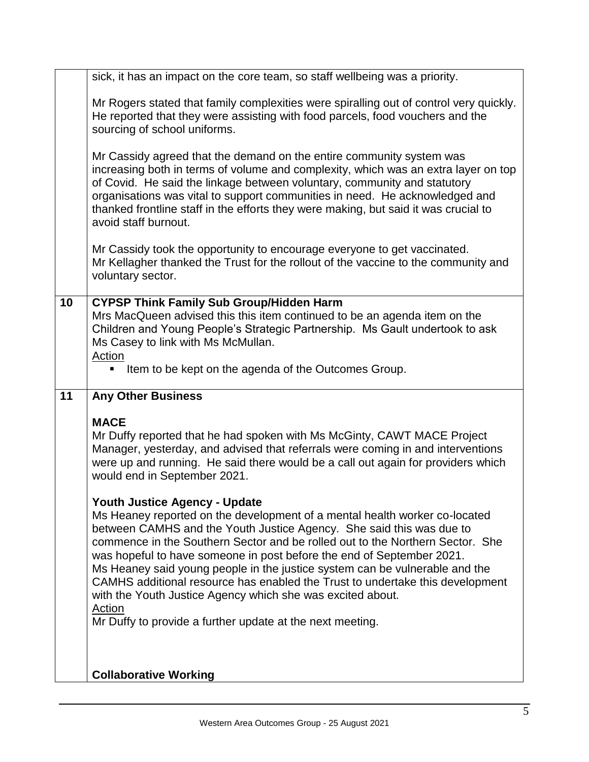|    | sick, it has an impact on the core team, so staff wellbeing was a priority.                                                                                                                                                                                                                                                                                                                                                                                                                                                                                                                  |
|----|----------------------------------------------------------------------------------------------------------------------------------------------------------------------------------------------------------------------------------------------------------------------------------------------------------------------------------------------------------------------------------------------------------------------------------------------------------------------------------------------------------------------------------------------------------------------------------------------|
|    | Mr Rogers stated that family complexities were spiralling out of control very quickly.<br>He reported that they were assisting with food parcels, food vouchers and the<br>sourcing of school uniforms.                                                                                                                                                                                                                                                                                                                                                                                      |
|    | Mr Cassidy agreed that the demand on the entire community system was<br>increasing both in terms of volume and complexity, which was an extra layer on top<br>of Covid. He said the linkage between voluntary, community and statutory<br>organisations was vital to support communities in need. He acknowledged and<br>thanked frontline staff in the efforts they were making, but said it was crucial to<br>avoid staff burnout.                                                                                                                                                         |
|    | Mr Cassidy took the opportunity to encourage everyone to get vaccinated.<br>Mr Kellagher thanked the Trust for the rollout of the vaccine to the community and<br>voluntary sector.                                                                                                                                                                                                                                                                                                                                                                                                          |
| 10 | <b>CYPSP Think Family Sub Group/Hidden Harm</b><br>Mrs MacQueen advised this this item continued to be an agenda item on the<br>Children and Young People's Strategic Partnership. Ms Gault undertook to ask<br>Ms Casey to link with Ms McMullan.<br>Action<br>Item to be kept on the agenda of the Outcomes Group.<br>٠                                                                                                                                                                                                                                                                    |
| 11 | <b>Any Other Business</b>                                                                                                                                                                                                                                                                                                                                                                                                                                                                                                                                                                    |
|    | <b>MACE</b><br>Mr Duffy reported that he had spoken with Ms McGinty, CAWT MACE Project<br>Manager, yesterday, and advised that referrals were coming in and interventions<br>were up and running. He said there would be a call out again for providers which<br>would end in September 2021.                                                                                                                                                                                                                                                                                                |
|    | <b>Youth Justice Agency - Update</b><br>Ms Heaney reported on the development of a mental health worker co-located<br>between CAMHS and the Youth Justice Agency. She said this was due to<br>commence in the Southern Sector and be rolled out to the Northern Sector. She<br>was hopeful to have someone in post before the end of September 2021.<br>Ms Heaney said young people in the justice system can be vulnerable and the<br>CAMHS additional resource has enabled the Trust to undertake this development<br>with the Youth Justice Agency which she was excited about.<br>Action |
|    | Mr Duffy to provide a further update at the next meeting.                                                                                                                                                                                                                                                                                                                                                                                                                                                                                                                                    |
|    |                                                                                                                                                                                                                                                                                                                                                                                                                                                                                                                                                                                              |
|    |                                                                                                                                                                                                                                                                                                                                                                                                                                                                                                                                                                                              |